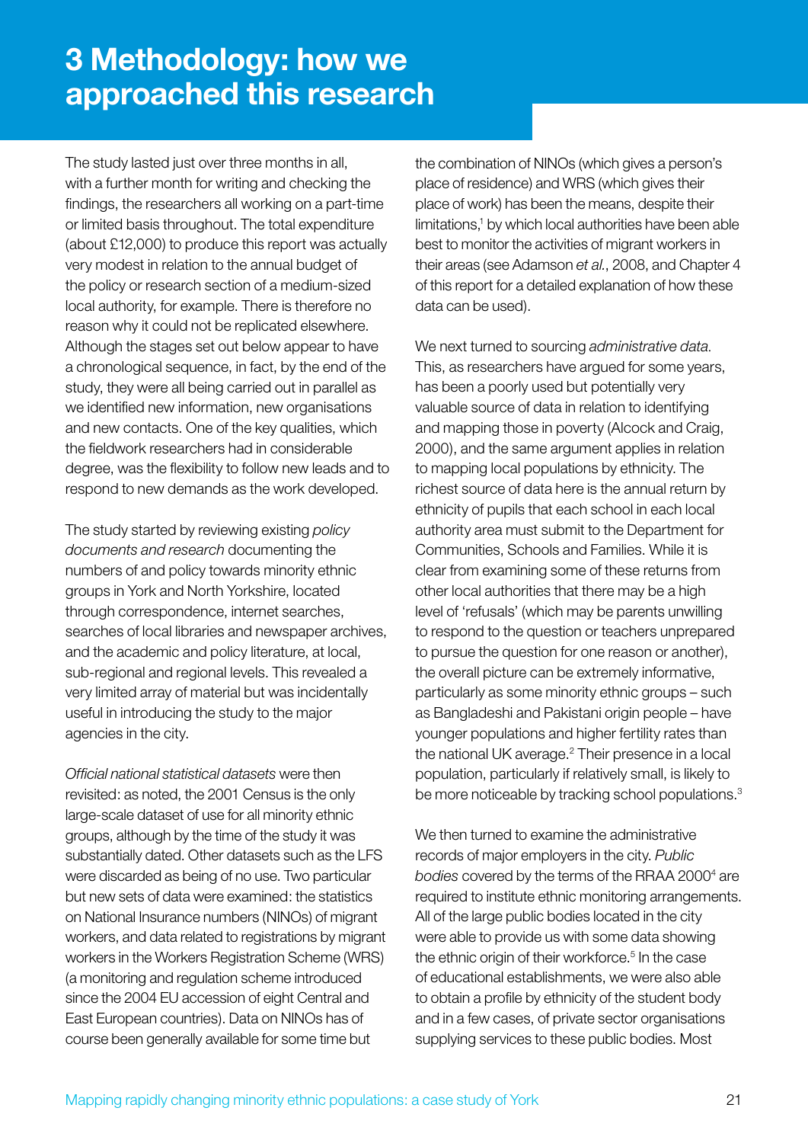## **3 Methodology: how we approached this research**

The study lasted just over three months in all, with a further month for writing and checking the findings, the researchers all working on a part-time or limited basis throughout. The total expenditure (about £12,000) to produce this report was actually very modest in relation to the annual budget of the policy or research section of a medium-sized local authority, for example. There is therefore no reason why it could not be replicated elsewhere. Although the stages set out below appear to have a chronological sequence, in fact, by the end of the study, they were all being carried out in parallel as we identified new information, new organisations and new contacts. One of the key qualities, which the fieldwork researchers had in considerable degree, was the flexibility to follow new leads and to respond to new demands as the work developed.

The study started by reviewing existing *policy documents and research* documenting the numbers of and policy towards minority ethnic groups in York and North Yorkshire, located through correspondence, internet searches, searches of local libraries and newspaper archives, and the academic and policy literature, at local, sub-regional and regional levels. This revealed a very limited array of material but was incidentally useful in introducing the study to the major agencies in the city.

*Official national statistical datasets* were then revisited: as noted, the 2001 Census is the only large-scale dataset of use for all minority ethnic groups, although by the time of the study it was substantially dated. Other datasets such as the LFS were discarded as being of no use. Two particular but new sets of data were examined: the statistics on National Insurance numbers (NINOs) of migrant workers, and data related to registrations by migrant workers in the Workers Registration Scheme (WRS) (a monitoring and regulation scheme introduced since the 2004 EU accession of eight Central and East European countries). Data on NINOs has of course been generally available for some time but

the combination of NINOs (which gives a person's place of residence) and WRS (which gives their place of work) has been the means, despite their limitations,<sup>1</sup> by which local authorities have been able best to monitor the activities of migrant workers in their areas (see Adamson *et al.*, 2008, and Chapter 4 of this report for a detailed explanation of how these data can be used).

We next turned to sourcing *administrative data.* This, as researchers have argued for some years, has been a poorly used but potentially very valuable source of data in relation to identifying and mapping those in poverty (Alcock and Craig, 2000), and the same argument applies in relation to mapping local populations by ethnicity. The richest source of data here is the annual return by ethnicity of pupils that each school in each local authority area must submit to the Department for Communities, Schools and Families. While it is clear from examining some of these returns from other local authorities that there may be a high level of 'refusals' (which may be parents unwilling to respond to the question or teachers unprepared to pursue the question for one reason or another), the overall picture can be extremely informative, particularly as some minority ethnic groups – such as Bangladeshi and Pakistani origin people – have younger populations and higher fertility rates than the national UK average.<sup>2</sup> Their presence in a local population, particularly if relatively small, is likely to be more noticeable by tracking school populations.<sup>3</sup>

We then turned to examine the administrative records of major employers in the city. *Public*  bodies covered by the terms of the RRAA 2000<sup>4</sup> are required to institute ethnic monitoring arrangements. All of the large public bodies located in the city were able to provide us with some data showing the ethnic origin of their workforce.<sup>5</sup> In the case of educational establishments, we were also able to obtain a profile by ethnicity of the student body and in a few cases, of private sector organisations supplying services to these public bodies. Most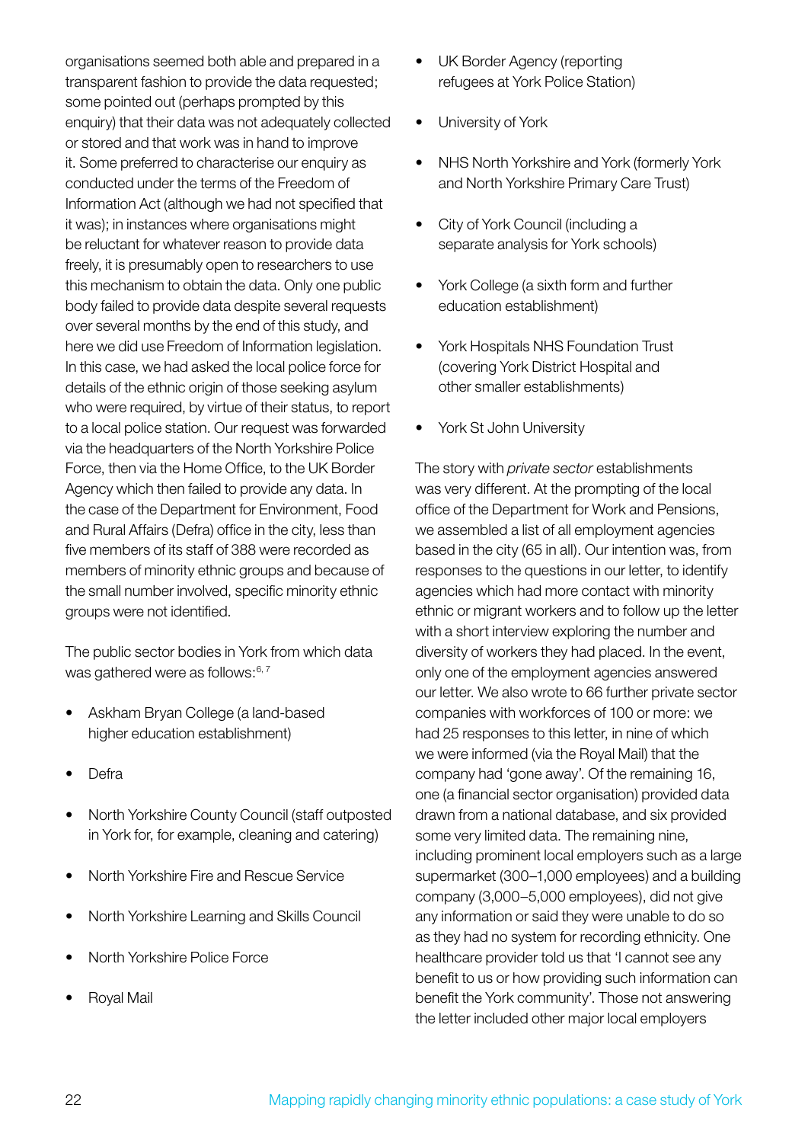organisations seemed both able and prepared in a transparent fashion to provide the data requested; some pointed out (perhaps prompted by this enquiry) that their data was not adequately collected or stored and that work was in hand to improve it. Some preferred to characterise our enquiry as conducted under the terms of the Freedom of Information Act (although we had not specified that it was); in instances where organisations might be reluctant for whatever reason to provide data freely, it is presumably open to researchers to use this mechanism to obtain the data. Only one public body failed to provide data despite several requests over several months by the end of this study, and here we did use Freedom of Information legislation. In this case, we had asked the local police force for details of the ethnic origin of those seeking asylum who were required, by virtue of their status, to report to a local police station. Our request was forwarded via the headquarters of the North Yorkshire Police Force, then via the Home Office, to the UK Border Agency which then failed to provide any data. In the case of the Department for Environment, Food and Rural Affairs (Defra) office in the city, less than five members of its staff of 388 were recorded as members of minority ethnic groups and because of the small number involved, specific minority ethnic groups were not identified.

The public sector bodies in York from which data was gathered were as follows:<sup>6,7</sup>

- Askham Bryan College (a land-based higher education establishment)
- Defra
- North Yorkshire County Council (staff outposted in York for, for example, cleaning and catering)
- **North Yorkshire Fire and Rescue Service**
- **North Yorkshire Learning and Skills Council**
- **North Yorkshire Police Force**
- **Royal Mail**
- UK Border Agency (reporting refugees at York Police Station)
- University of York
- NHS North Yorkshire and York (formerly York and North Yorkshire Primary Care Trust)
- City of York Council (including a separate analysis for York schools)
- York College (a sixth form and further education establishment)
- York Hospitals NHS Foundation Trust (covering York District Hospital and other smaller establishments)
- York St John University

The story with *private sector* establishments was very different. At the prompting of the local office of the Department for Work and Pensions, we assembled a list of all employment agencies based in the city (65 in all). Our intention was, from responses to the questions in our letter, to identify agencies which had more contact with minority ethnic or migrant workers and to follow up the letter with a short interview exploring the number and diversity of workers they had placed. In the event, only one of the employment agencies answered our letter. We also wrote to 66 further private sector companies with workforces of 100 or more: we had 25 responses to this letter, in nine of which we were informed (via the Royal Mail) that the company had 'gone away'. Of the remaining 16, one (a financial sector organisation) provided data drawn from a national database, and six provided some very limited data. The remaining nine, including prominent local employers such as a large supermarket (300–1,000 employees) and a building company (3,000–5,000 employees), did not give any information or said they were unable to do so as they had no system for recording ethnicity. One healthcare provider told us that 'I cannot see any benefit to us or how providing such information can benefit the York community'. Those not answering the letter included other major local employers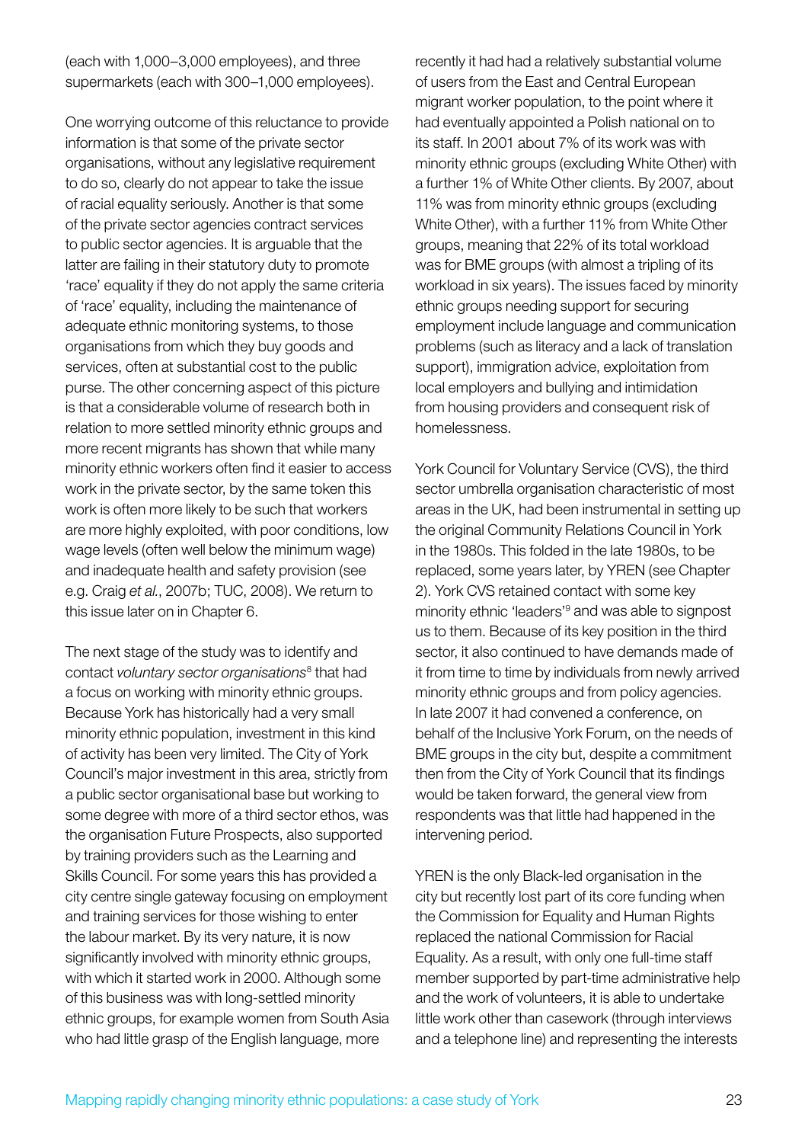(each with 1,000–3,000 employees), and three supermarkets (each with 300–1,000 employees).

One worrying outcome of this reluctance to provide information is that some of the private sector organisations, without any legislative requirement to do so, clearly do not appear to take the issue of racial equality seriously. Another is that some of the private sector agencies contract services to public sector agencies. It is arguable that the latter are failing in their statutory duty to promote 'race' equality if they do not apply the same criteria of 'race' equality, including the maintenance of adequate ethnic monitoring systems, to those organisations from which they buy goods and services, often at substantial cost to the public purse. The other concerning aspect of this picture is that a considerable volume of research both in relation to more settled minority ethnic groups and more recent migrants has shown that while many minority ethnic workers often find it easier to access work in the private sector, by the same token this work is often more likely to be such that workers are more highly exploited, with poor conditions, low wage levels (often well below the minimum wage) and inadequate health and safety provision (see e.g. Craig *et al.*, 2007b; TUC, 2008). We return to this issue later on in Chapter 6.

The next stage of the study was to identify and contact *voluntary sector organisations*<sup>8</sup> that had a focus on working with minority ethnic groups. Because York has historically had a very small minority ethnic population, investment in this kind of activity has been very limited. The City of York Council's major investment in this area, strictly from a public sector organisational base but working to some degree with more of a third sector ethos, was the organisation Future Prospects, also supported by training providers such as the Learning and Skills Council. For some years this has provided a city centre single gateway focusing on employment and training services for those wishing to enter the labour market. By its very nature, it is now significantly involved with minority ethnic groups, with which it started work in 2000. Although some of this business was with long-settled minority ethnic groups, for example women from South Asia who had little grasp of the English language, more

recently it had had a relatively substantial volume of users from the East and Central European migrant worker population, to the point where it had eventually appointed a Polish national on to its staff. In 2001 about 7% of its work was with minority ethnic groups (excluding White Other) with a further 1% of White Other clients. By 2007, about 11% was from minority ethnic groups (excluding White Other), with a further 11% from White Other groups, meaning that 22% of its total workload was for BME groups (with almost a tripling of its workload in six years). The issues faced by minority ethnic groups needing support for securing employment include language and communication problems (such as literacy and a lack of translation support), immigration advice, exploitation from local employers and bullying and intimidation from housing providers and consequent risk of homelessness.

York Council for Voluntary Service (CVS), the third sector umbrella organisation characteristic of most areas in the UK, had been instrumental in setting up the original Community Relations Council in York in the 1980s. This folded in the late 1980s, to be replaced, some years later, by YREN (see Chapter 2). York CVS retained contact with some key minority ethnic 'leaders'<sup>9</sup> and was able to signpost us to them. Because of its key position in the third sector, it also continued to have demands made of it from time to time by individuals from newly arrived minority ethnic groups and from policy agencies. In late 2007 it had convened a conference, on behalf of the Inclusive York Forum, on the needs of BME groups in the city but, despite a commitment then from the City of York Council that its findings would be taken forward, the general view from respondents was that little had happened in the intervening period.

YREN is the only Black-led organisation in the city but recently lost part of its core funding when the Commission for Equality and Human Rights replaced the national Commission for Racial Equality. As a result, with only one full-time staff member supported by part-time administrative help and the work of volunteers, it is able to undertake little work other than casework (through interviews and a telephone line) and representing the interests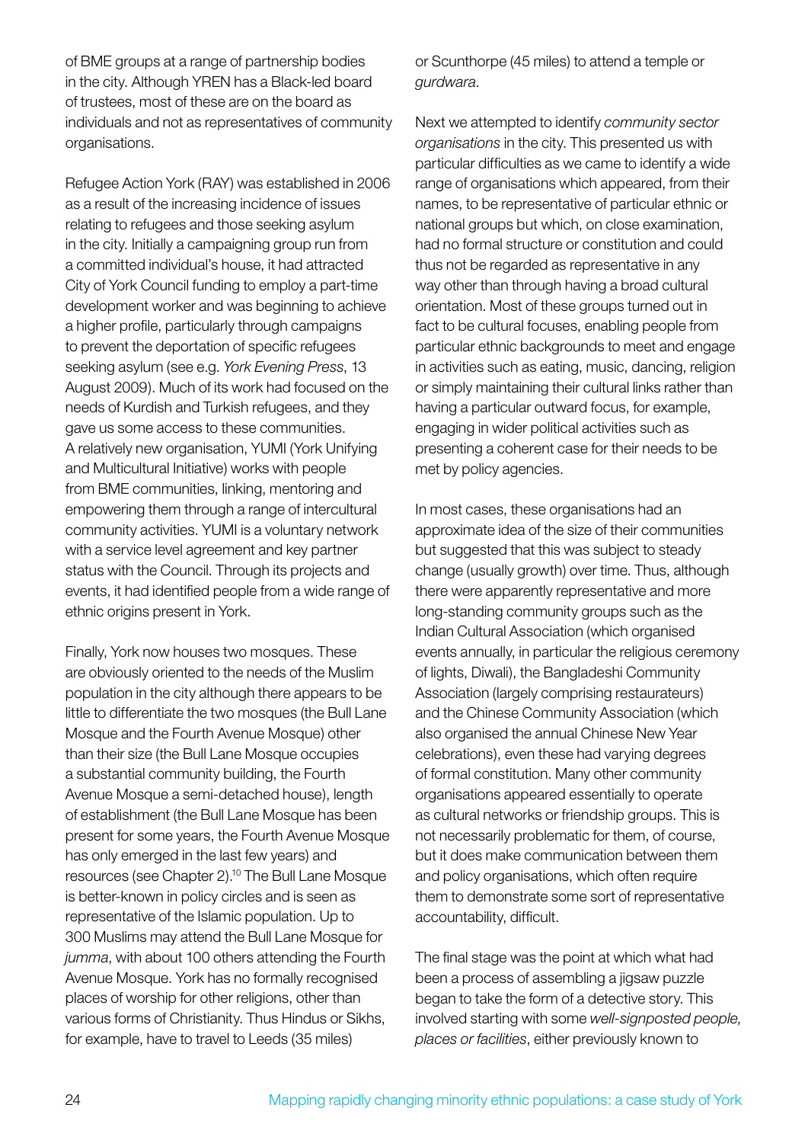of BME groups at a range of partnership bodies in the city. Although YREN has a Black-led board of trustees, most of these are on the board as individuals and not as representatives of community organisations.

Refugee Action York (RAY) was established in 2006 as a result of the increasing incidence of issues relating to refugees and those seeking asylum in the city. Initially a campaigning group run from a committed individual's house, it had attracted City of York Council funding to employ a part-time development worker and was beginning to achieve a higher profile, particularly through campaigns to prevent the deportation of specific refugees seeking asylum (see e.g. *York Evening Press*, 13 August 2009). Much of its work had focused on the needs of Kurdish and Turkish refugees, and they gave us some access to these communities. A relatively new organisation, YUMI (York Unifying and Multicultural Initiative) works with people from BME communities, linking, mentoring and empowering them through a range of intercultural community activities. YUMI is a voluntary network with a service level agreement and key partner status with the Council. Through its projects and events, it had identified people from a wide range of ethnic origins present in York.

Finally, York now houses two mosques. These are obviously oriented to the needs of the Muslim population in the city although there appears to be little to differentiate the two mosques (the Bull Lane Mosque and the Fourth Avenue Mosque) other than their size (the Bull Lane Mosque occupies a substantial community building, the Fourth Avenue Mosque a semi-detached house), length of establishment (the Bull Lane Mosque has been present for some years, the Fourth Avenue Mosque has only emerged in the last few years) and resources (see Chapter 2).10 The Bull Lane Mosque is better-known in policy circles and is seen as representative of the Islamic population. Up to 300 Muslims may attend the Bull Lane Mosque for *jumma*, with about 100 others attending the Fourth Avenue Mosque. York has no formally recognised places of worship for other religions, other than various forms of Christianity. Thus Hindus or Sikhs, for example, have to travel to Leeds (35 miles)

or Scunthorpe (45 miles) to attend a temple or *gurdwara*.

Next we attempted to identify *community sector organisations* in the city. This presented us with particular difficulties as we came to identify a wide range of organisations which appeared, from their names, to be representative of particular ethnic or national groups but which, on close examination, had no formal structure or constitution and could thus not be regarded as representative in any way other than through having a broad cultural orientation. Most of these groups turned out in fact to be cultural focuses, enabling people from particular ethnic backgrounds to meet and engage in activities such as eating, music, dancing, religion or simply maintaining their cultural links rather than having a particular outward focus, for example, engaging in wider political activities such as presenting a coherent case for their needs to be met by policy agencies.

In most cases, these organisations had an approximate idea of the size of their communities but suggested that this was subject to steady change (usually growth) over time. Thus, although there were apparently representative and more long-standing community groups such as the Indian Cultural Association (which organised events annually, in particular the religious ceremony of lights, Diwali), the Bangladeshi Community Association (largely comprising restaurateurs) and the Chinese Community Association (which also organised the annual Chinese New Year celebrations), even these had varying degrees of formal constitution. Many other community organisations appeared essentially to operate as cultural networks or friendship groups. This is not necessarily problematic for them, of course, but it does make communication between them and policy organisations, which often require them to demonstrate some sort of representative accountability, difficult.

The final stage was the point at which what had been a process of assembling a jigsaw puzzle began to take the form of a detective story. This involved starting with some *well-signposted people, places or facilities*, either previously known to